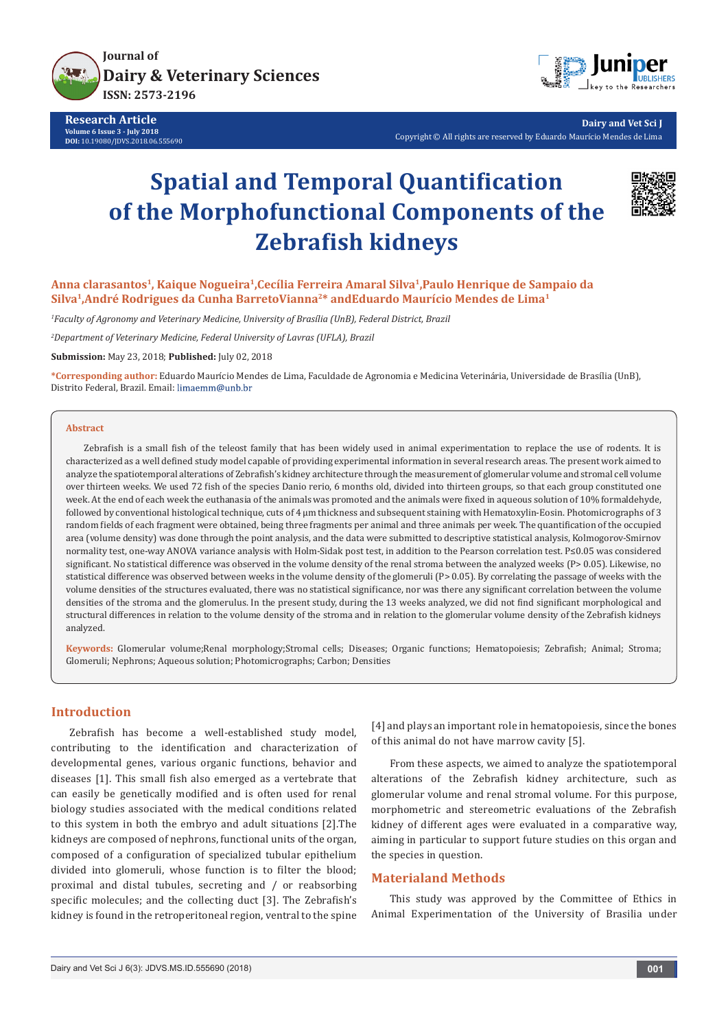

**Research Article Volume 6 Issue 3 - July 2018 DOI:** [10.19080/JDVS.2018.06.555690](http://dx.doi.org/10.19080/JDVS.2018.06.555690)



**Dairy and Vet Sci J** Copyright © All rights are reserved by Eduardo Maurício Mendes de Lima

# **Spatial and Temporal Quantification of the Morphofunctional Components of the Zebrafish kidneys**



**Anna clarasantos1, Kaique Nogueira1,Cecília Ferreira Amaral Silva1,Paulo Henrique de Sampaio da Silva1,André Rodrigues da Cunha BarretoVianna2\* andEduardo Maurício Mendes de Lima1**

*1 Faculty of Agronomy and Veterinary Medicine, University of Brasília (UnB), Federal District, Brazil*

*2 Department of Veterinary Medicine, Federal University of Lavras (UFLA), Brazil*

**Submission:** May 23, 2018; **Published:** July 02, 2018

**\*Corresponding author:** Eduardo Maurício Mendes de Lima, Faculdade de Agronomia e Medicina Veterinária, Universidade de Brasília (UnB), Distrito Federal, Brazil. Email:

#### **Abstract**

Zebrafish is a small fish of the teleost family that has been widely used in animal experimentation to replace the use of rodents. It is characterized as a well defined study model capable of providing experimental information in several research areas. The present work aimed to analyze the spatiotemporal alterations of Zebrafish's kidney architecture through the measurement of glomerular volume and stromal cell volume over thirteen weeks. We used 72 fish of the species Danio rerio, 6 months old, divided into thirteen groups, so that each group constituted one week. At the end of each week the euthanasia of the animals was promoted and the animals were fixed in aqueous solution of 10% formaldehyde, followed by conventional histological technique, cuts of 4 μm thickness and subsequent staining with Hematoxylin-Eosin. Photomicrographs of 3 random fields of each fragment were obtained, being three fragments per animal and three animals per week. The quantification of the occupied area (volume density) was done through the point analysis, and the data were submitted to descriptive statistical analysis, Kolmogorov-Smirnov normality test, one-way ANOVA variance analysis with Holm-Sidak post test, in addition to the Pearson correlation test. P≤0.05 was considered significant. No statistical difference was observed in the volume density of the renal stroma between the analyzed weeks (P> 0.05). Likewise, no statistical difference was observed between weeks in the volume density of the glomeruli (P> 0.05). By correlating the passage of weeks with the volume densities of the structures evaluated, there was no statistical significance, nor was there any significant correlation between the volume densities of the stroma and the glomerulus. In the present study, during the 13 weeks analyzed, we did not find significant morphological and structural differences in relation to the volume density of the stroma and in relation to the glomerular volume density of the Zebrafish kidneys analyzed.

**Keywords:** Glomerular volume;Renal morphology;Stromal cells; Diseases; Organic functions; Hematopoiesis; Zebrafish; Animal; Stroma; Glomeruli; Nephrons; Aqueous solution; Photomicrographs; Carbon; Densities

### **Introduction**

Zebrafish has become a well-established study model, contributing to the identification and characterization of developmental genes, various organic functions, behavior and diseases [1]. This small fish also emerged as a vertebrate that can easily be genetically modified and is often used for renal biology studies associated with the medical conditions related to this system in both the embryo and adult situations [2].The kidneys are composed of nephrons, functional units of the organ, composed of a configuration of specialized tubular epithelium divided into glomeruli, whose function is to filter the blood; proximal and distal tubules, secreting and / or reabsorbing specific molecules; and the collecting duct [3]. The Zebrafish's kidney is found in the retroperitoneal region, ventral to the spine

[4] and plays an important role in hematopoiesis, since the bones of this animal do not have marrow cavity [5].

From these aspects, we aimed to analyze the spatiotemporal alterations of the Zebrafish kidney architecture, such as glomerular volume and renal stromal volume. For this purpose, morphometric and stereometric evaluations of the Zebrafish kidney of different ages were evaluated in a comparative way, aiming in particular to support future studies on this organ and the species in question.

#### **Materialand Methods**

This study was approved by the Committee of Ethics in Animal Experimentation of the University of Brasilia under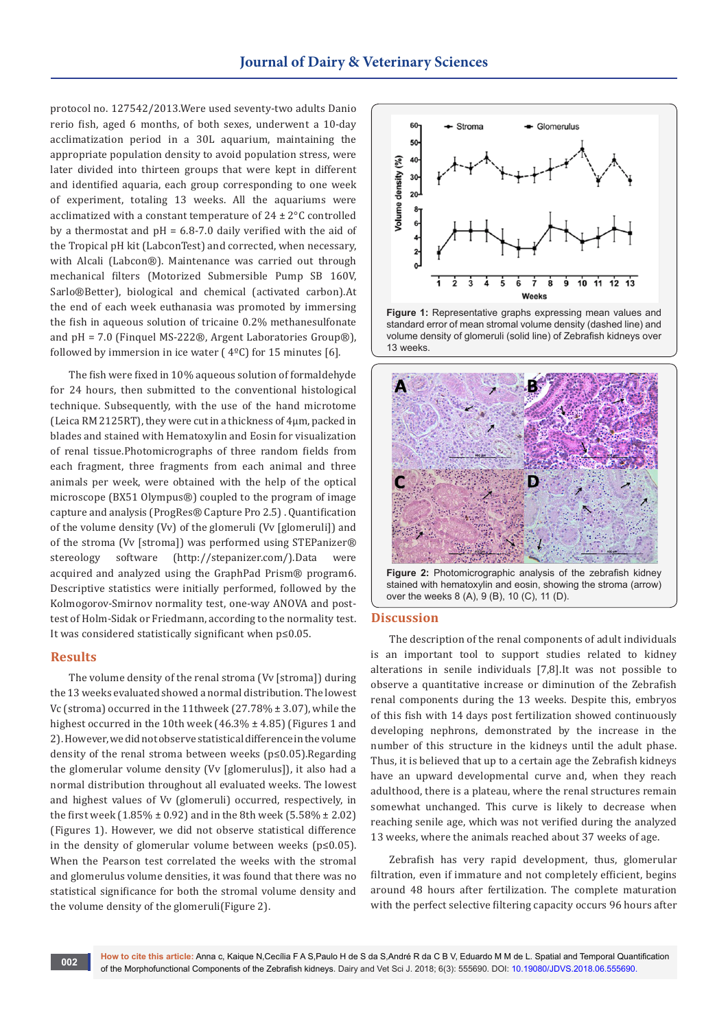protocol no. 127542/2013.Were used seventy-two adults Danio rerio fish, aged 6 months, of both sexes, underwent a 10-day acclimatization period in a 30L aquarium, maintaining the appropriate population density to avoid population stress, were later divided into thirteen groups that were kept in different and identified aquaria, each group corresponding to one week of experiment, totaling 13 weeks. All the aquariums were acclimatized with a constant temperature of  $24 \pm 2^{\circ}$ C controlled by a thermostat and pH = 6.8-7.0 daily verified with the aid of the Tropical pH kit (LabconTest) and corrected, when necessary, with Alcali (Labcon®). Maintenance was carried out through mechanical filters (Motorized Submersible Pump SB 160V, Sarlo®Better), biological and chemical (activated carbon).At the end of each week euthanasia was promoted by immersing the fish in aqueous solution of tricaine 0.2% methanesulfonate and pH = 7.0 (Finquel MS-222®, Argent Laboratories Group®), followed by immersion in ice water ( $4^{\circ}$ C) for 15 minutes [6].

The fish were fixed in 10% aqueous solution of formaldehyde for 24 hours, then submitted to the conventional histological technique. Subsequently, with the use of the hand microtome (Leica RM 2125RT), they were cut in a thickness of 4μm, packed in blades and stained with Hematoxylin and Eosin for visualization of renal tissue.Photomicrographs of three random fields from each fragment, three fragments from each animal and three animals per week, were obtained with the help of the optical microscope (BX51 Olympus®) coupled to the program of image capture and analysis (ProgRes® Capture Pro 2.5) . Quantification of the volume density (Vv) of the glomeruli (Vv [glomeruli]) and of the stroma (Vv [stroma]) was performed using STEPanizer® stereology software (http://stepanizer.com/).Data were acquired and analyzed using the GraphPad Prism® program6. Descriptive statistics were initially performed, followed by the Kolmogorov-Smirnov normality test, one-way ANOVA and posttest of Holm-Sidak or Friedmann, according to the normality test. It was considered statistically significant when p≤0.05.

#### **Results**

The volume density of the renal stroma (Vv [stroma]) during the 13 weeks evaluated showed a normal distribution. The lowest Vc (stroma) occurred in the 11thweek (27.78% ± 3.07), while the highest occurred in the 10th week (46.3%  $\pm$  4.85) (Figures 1 and 2). However, we did not observe statistical difference in the volume density of the renal stroma between weeks (p≤0.05).Regarding the glomerular volume density (Vv [glomerulus]), it also had a normal distribution throughout all evaluated weeks. The lowest and highest values of Vv (glomeruli) occurred, respectively, in the first week  $(1.85\% \pm 0.92)$  and in the 8th week  $(5.58\% \pm 2.02)$ (Figures 1). However, we did not observe statistical difference in the density of glomerular volume between weeks (p≤0.05). When the Pearson test correlated the weeks with the stromal and glomerulus volume densities, it was found that there was no statistical significance for both the stromal volume density and the volume density of the glomeruli(Figure 2).







**Figure 2:** Photomicrographic analysis of the zebrafish kidney stained with hematoxylin and eosin, showing the stroma (arrow) over the weeks 8 (A), 9 (B), 10 (C), 11 (D).

## **Discussion**

The description of the renal components of adult individuals is an important tool to support studies related to kidney alterations in senile individuals [7,8].It was not possible to observe a quantitative increase or diminution of the Zebrafish renal components during the 13 weeks. Despite this, embryos of this fish with 14 days post fertilization showed continuously developing nephrons, demonstrated by the increase in the number of this structure in the kidneys until the adult phase. Thus, it is believed that up to a certain age the Zebrafish kidneys have an upward developmental curve and, when they reach adulthood, there is a plateau, where the renal structures remain somewhat unchanged. This curve is likely to decrease when reaching senile age, which was not verified during the analyzed 13 weeks, where the animals reached about 37 weeks of age.

Zebrafish has very rapid development, thus, glomerular filtration, even if immature and not completely efficient, begins around 48 hours after fertilization. The complete maturation with the perfect selective filtering capacity occurs 96 hours after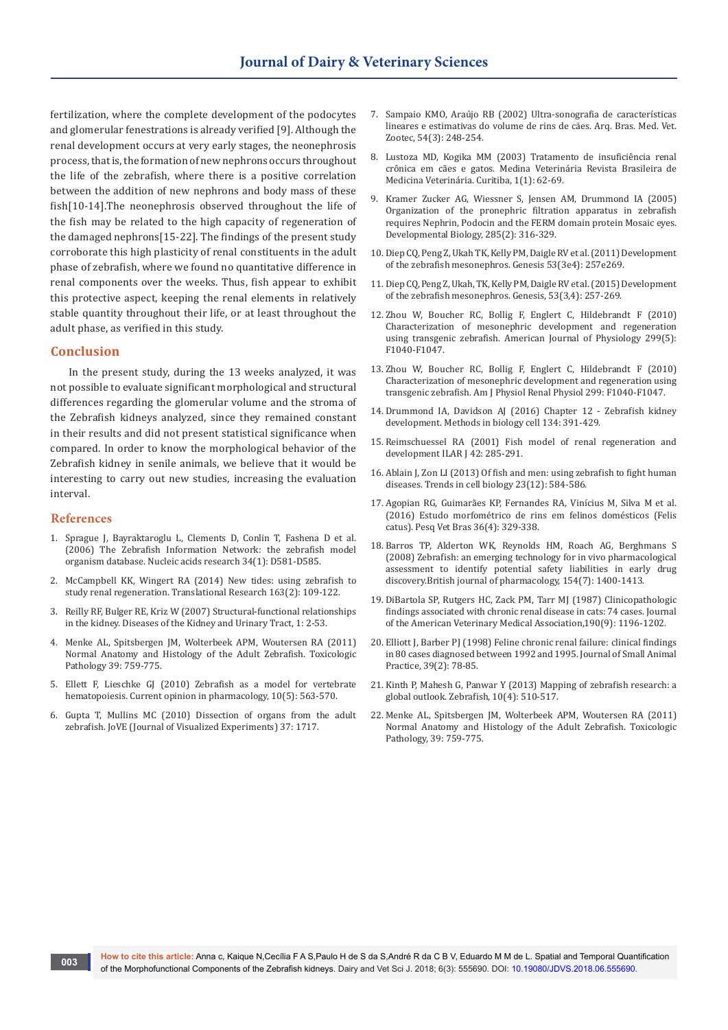fertilization, where the complete development of the podocytes and glomerular fenestrations is already verified [9]. Although the renal development occurs at very early stages, the neonephrosis process, that is, the formation of new nephrons occurs throughout the life of the zebrafish, where there is a positive correlation between the addition of new nephrons and body mass of these fish[10-14].The neonephrosis observed throughout the life of the fish may be related to the high capacity of regeneration of the damaged nephrons[15-22]. The findings of the present study corroborate this high plasticity of renal constituents in the adult phase of zebrafish, where we found no quantitative difference in renal components over the weeks. Thus, fish appear to exhibit this protective aspect, keeping the renal elements in relatively stable quantity throughout their life, or at least throughout the adult phase, as verified in this study.

#### **Conclusion**

In the present study, during the 13 weeks analyzed, it was not possible to evaluate significant morphological and structural differences regarding the glomerular volume and the stroma of the Zebrafish kidneys analyzed, since they remained constant in their results and did not present statistical significance when compared. In order to know the morphological behavior of the Zebrafish kidney in senile animals, we believe that it would be interesting to carry out new studies, increasing the evaluation interval.

#### **References**

- 1. [Sprague J, Bayraktaroglu L, Clements D, Conlin T, Fashena D et al.](https://www.ncbi.nlm.nih.gov/pubmed/16381936)  [\(2006\) The Zebrafish Information Network: the zebrafish model](https://www.ncbi.nlm.nih.gov/pubmed/16381936)  organism database. [Nucleic acids research 34\(1\): D581-D585.](https://www.ncbi.nlm.nih.gov/pubmed/16381936)
- 2. [McCampbell KK, Wingert RA \(2014\) New tides: using zebrafish to](https://www.ncbi.nlm.nih.gov/pubmed/24183931)  [study renal regeneration.](https://www.ncbi.nlm.nih.gov/pubmed/24183931) Translational Research 163(2): 109-122.
- 3. Reilly RF, Bulger RE, Kriz W (2007) Structural-functional relationships in the kidney. Diseases of the Kidney and Urinary Tract, 1: 2-53.
- 4. [Menke AL, Spitsbergen JM, Wolterbeek APM, Woutersen RA \(2011\)](https://www.ncbi.nlm.nih.gov/pubmed/21636695)  [Normal Anatomy and Histology of the Adult Zebrafish. Toxicologic](https://www.ncbi.nlm.nih.gov/pubmed/21636695)  [Pathology 39: 759-775.](https://www.ncbi.nlm.nih.gov/pubmed/21636695)
- 5. [Ellett F, Lieschke GJ \(2010\) Zebrafish as a model for vertebrate](https://www.ncbi.nlm.nih.gov/pubmed/20538521)  hematopoiesis. [Current opinion in pharmacology,](https://www.ncbi.nlm.nih.gov/pubmed/20538521) 10(5): 563-570.
- 6. [Gupta T, Mullins MC \(2010\) Dissection of organs from the adult](https://www.ncbi.nlm.nih.gov/pmc/articles/PMC3144575/)  zebrafish. [JoVE \(Journal of Visualized Experiments\) 37: 1717.](https://www.ncbi.nlm.nih.gov/pmc/articles/PMC3144575/)
- 7. Sampaio KMO, Araújo RB (2002) Ultra-sonografia de características lineares e estimativas do volume de rins de cäes. Arq. Bras. Med. Vet. Zootec, 54(3): 248-254.
- 8. Lustoza MD, Kogika MM (2003) Tratamento de insuficiência renal crônica em cães e gatos. Medina Veterinária Revista Brasileira de Medicina Veterinária. Curitiba, 1(1): 62-69.
- 9. [Kramer Zucker AG, Wiessner S, Jensen AM, Drummond IA \(2005\)](https://www.ncbi.nlm.nih.gov/pubmed/16102746)  [Organization of the pronephric filtration apparatus in zebrafish](https://www.ncbi.nlm.nih.gov/pubmed/16102746)  [requires Nephrin, Podocin and the FERM domain protein Mosaic eyes.](https://www.ncbi.nlm.nih.gov/pubmed/16102746)  [Developmental Biology, 285\(2\): 316-329.](https://www.ncbi.nlm.nih.gov/pubmed/16102746)
- 10. Diep CQ, Peng Z, Ukah TK, Kelly PM, Daigle RV et al. (2011) Development of the zebrafish mesonephros. Genesis 53(3e4): 257e269.
- 11. Diep CQ, Peng Z, Ukah, TK, Kelly PM, Daigle RV et al. (2015) Development of the zebrafish mesonephros. Genesis, 53(3,4): 257-269.
- 12. Zhou W, Boucher RC, Bollig F, Englert C, Hildebrandt F (2010) Characterization of mesonephric development and regeneration using transgenic zebrafish. American Journal of Physiology 299(5): F1040-F1047.
- 13. Zhou W, Boucher RC, Bollig F, Englert C, Hildebrandt F (2010) Characterization of mesonephric development and regeneration using transgenic zebrafish. Am J Physiol Renal Physiol 299: F1040-F1047.
- 14. Drummond IA, Davidson AJ (2016) Chapter 12 Zebrafish kidney development. Methods in biology cell 134: 391-429.
- 15. Reimschuessel RA (2001) Fish model of renal regeneration and development ILAR I 42: 285-291.
- 16. [Ablain J, Zon LI \(2013\) Of fish and men: using zebrafish to fight human](https://www.ncbi.nlm.nih.gov/pubmed/24275383)  diseases. [Trends in cell biology](https://www.ncbi.nlm.nih.gov/pubmed/24275383) 23(12): 584-586.
- 17. Agopian RG, Guimarães KP, Fernandes RA, Vinícius M, Silva M et al. (2016) Estudo morfométrico de rins em felinos domésticos (Felis catus). Pesq Vet Bras 36(4): 329-338.
- 18. [Barros TP, Alderton WK, Reynolds HM, Roach AG, Berghmans S](https://www.ncbi.nlm.nih.gov/pubmed/18552866)  [\(2008\) Zebrafish: an emerging technology for in vivo pharmacological](https://www.ncbi.nlm.nih.gov/pubmed/18552866)  [assessment to identify potential safety liabilities in early drug](https://www.ncbi.nlm.nih.gov/pubmed/18552866)  [discovery.British journal of pharmacology,](https://www.ncbi.nlm.nih.gov/pubmed/18552866) 154(7): 1400-1413.
- 19. [DiBartola SP, Rutgers HC, Zack PM, Tarr MJ \(1987\) Clinicopathologic](https://www.ncbi.nlm.nih.gov/pubmed/3583899)  [findings associated with chronic renal disease in cats: 74 cases.](https://www.ncbi.nlm.nih.gov/pubmed/3583899) Journal [of the American Veterinary Medical Association,190\(9\): 1196-1202.](https://www.ncbi.nlm.nih.gov/pubmed/3583899)
- 20. [Elliott J, Barber PJ \(1998\) Feline chronic renal failure: clinical findings](https://www.ncbi.nlm.nih.gov/pubmed/9513888)  [in 80 cases diagnosed between 1992 and 1995.](https://www.ncbi.nlm.nih.gov/pubmed/9513888) Journal of Small Animal Practice, [39\(2\): 78-85.](https://www.ncbi.nlm.nih.gov/pubmed/9513888)
- 21. [Kinth P, Mahesh G, Panwar Y \(2013\) Mapping of zebrafish research: a](https://www.ncbi.nlm.nih.gov/pubmed/24131434)  global outlook. Zebrafish, [10\(4\): 510-517.](https://www.ncbi.nlm.nih.gov/pubmed/24131434)
- 22. [Menke AL, Spitsbergen JM, Wolterbeek APM, Woutersen RA \(2011\)](https://www.ncbi.nlm.nih.gov/pubmed/21636695)  [Normal Anatomy and Histology of the Adult Zebrafish. Toxicologic](https://www.ncbi.nlm.nih.gov/pubmed/21636695)  [Pathology, 39: 759-775.](https://www.ncbi.nlm.nih.gov/pubmed/21636695)